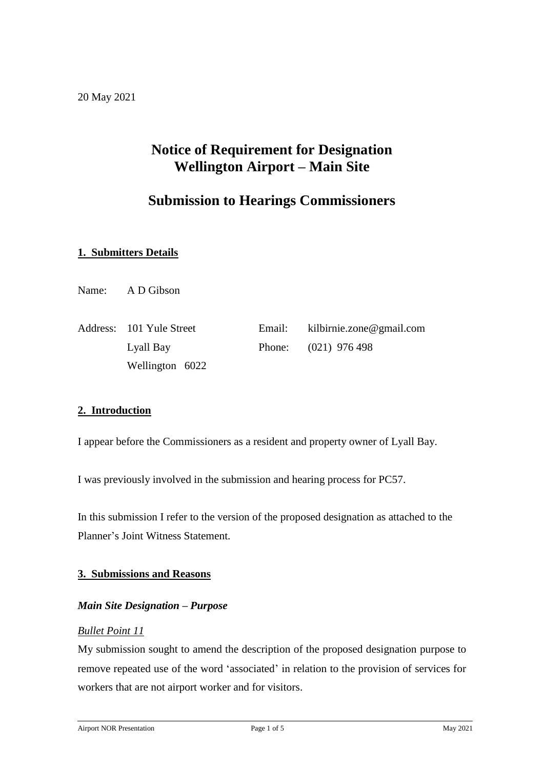# **Notice of Requirement for Designation Wellington Airport – Main Site**

# **Submission to Hearings Commissioners**

## **1. Submitters Details**

Name: A D Gibson

| Address: 101 Yule Street | Email: $kilbirnie.zone@gmail.com$ |
|--------------------------|-----------------------------------|
| Lyall Bay                | Phone: $(021)$ 976 498            |
| Wellington 6022          |                                   |

## **2. Introduction**

I appear before the Commissioners as a resident and property owner of Lyall Bay.

I was previously involved in the submission and hearing process for PC57.

In this submission I refer to the version of the proposed designation as attached to the Planner's Joint Witness Statement.

#### **3. Submissions and Reasons**

#### *Main Site Designation – Purpose*

#### *Bullet Point 11*

My submission sought to amend the description of the proposed designation purpose to remove repeated use of the word 'associated' in relation to the provision of services for workers that are not airport worker and for visitors.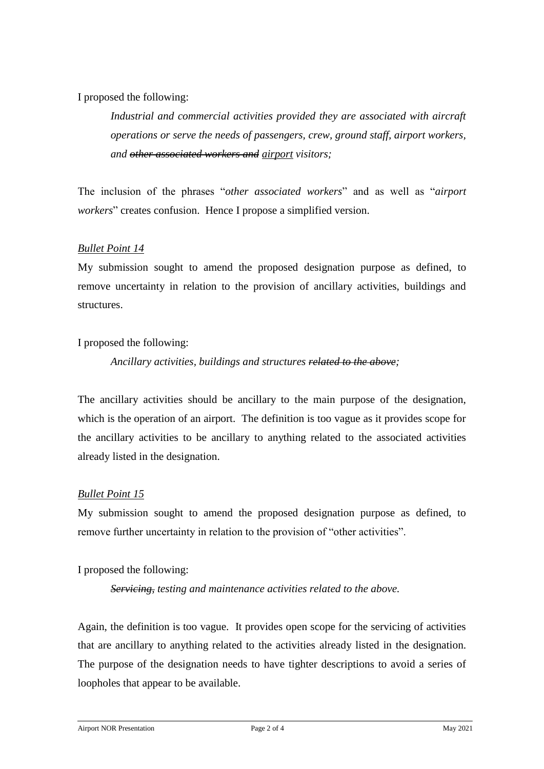### I proposed the following:

*Industrial and commercial activities provided they are associated with aircraft operations or serve the needs of passengers, crew, ground staff, airport workers, and other associated workers and airport visitors;*

The inclusion of the phrases "*other associated workers*" and as well as "*airport workers*" creates confusion. Hence I propose a simplified version.

### *Bullet Point 14*

My submission sought to amend the proposed designation purpose as defined, to remove uncertainty in relation to the provision of ancillary activities, buildings and structures.

I proposed the following:

### *Ancillary activities, buildings and structures related to the above;*

The ancillary activities should be ancillary to the main purpose of the designation, which is the operation of an airport. The definition is too vague as it provides scope for the ancillary activities to be ancillary to anything related to the associated activities already listed in the designation.

#### *Bullet Point 15*

My submission sought to amend the proposed designation purpose as defined, to remove further uncertainty in relation to the provision of "other activities".

I proposed the following:

*Servicing, testing and maintenance activities related to the above.*

Again, the definition is too vague. It provides open scope for the servicing of activities that are ancillary to anything related to the activities already listed in the designation. The purpose of the designation needs to have tighter descriptions to avoid a series of loopholes that appear to be available.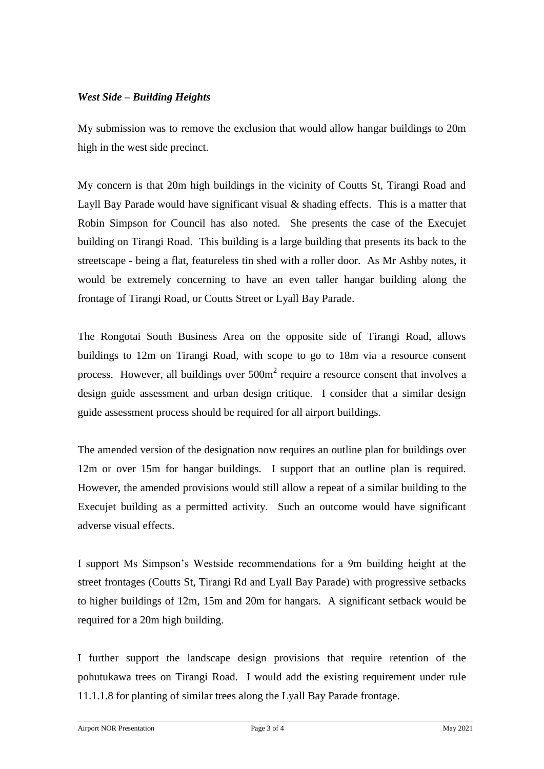### *West Side – Building Heights*

My submission was to remove the exclusion that would allow hangar buildings to 20m high in the west side precinct.

My concern is that 20m high buildings in the vicinity of Coutts St, Tirangi Road and Layll Bay Parade would have significant visual  $\&$  shading effects. This is a matter that Robin Simpson for Council has also noted. She presents the case of the Execujet building on Tirangi Road. This building is a large building that presents its back to the streetscape - being a flat, featureless tin shed with a roller door. As Mr Ashby notes, it would be extremely concerning to have an even taller hangar building along the frontage of Tirangi Road, or Coutts Street or Lyall Bay Parade.

The Rongotai South Business Area on the opposite side of Tirangi Road, allows buildings to 12m on Tirangi Road, with scope to go to 18m via a resource consent process. However, all buildings over  $500m<sup>2</sup>$  require a resource consent that involves a design guide assessment and urban design critique. I consider that a similar design guide assessment process should be required for all airport buildings.

The amended version of the designation now requires an outline plan for buildings over 12m or over 15m for hangar buildings. I support that an outline plan is required. However, the amended provisions would still allow a repeat of a similar building to the Execujet building as a permitted activity. Such an outcome would have significant adverse visual effects.

I support Ms Simpson's Westside recommendations for a 9m building height at the street frontages (Coutts St, Tirangi Rd and Lyall Bay Parade) with progressive setbacks to higher buildings of 12m, 15m and 20m for hangars. A significant setback would be required for a 20m high building.

I further support the landscape design provisions that require retention of the pohutukawa trees on Tirangi Road. I would add the existing requirement under rule 11.1.1.8 for planting of similar trees along the Lyall Bay Parade frontage.